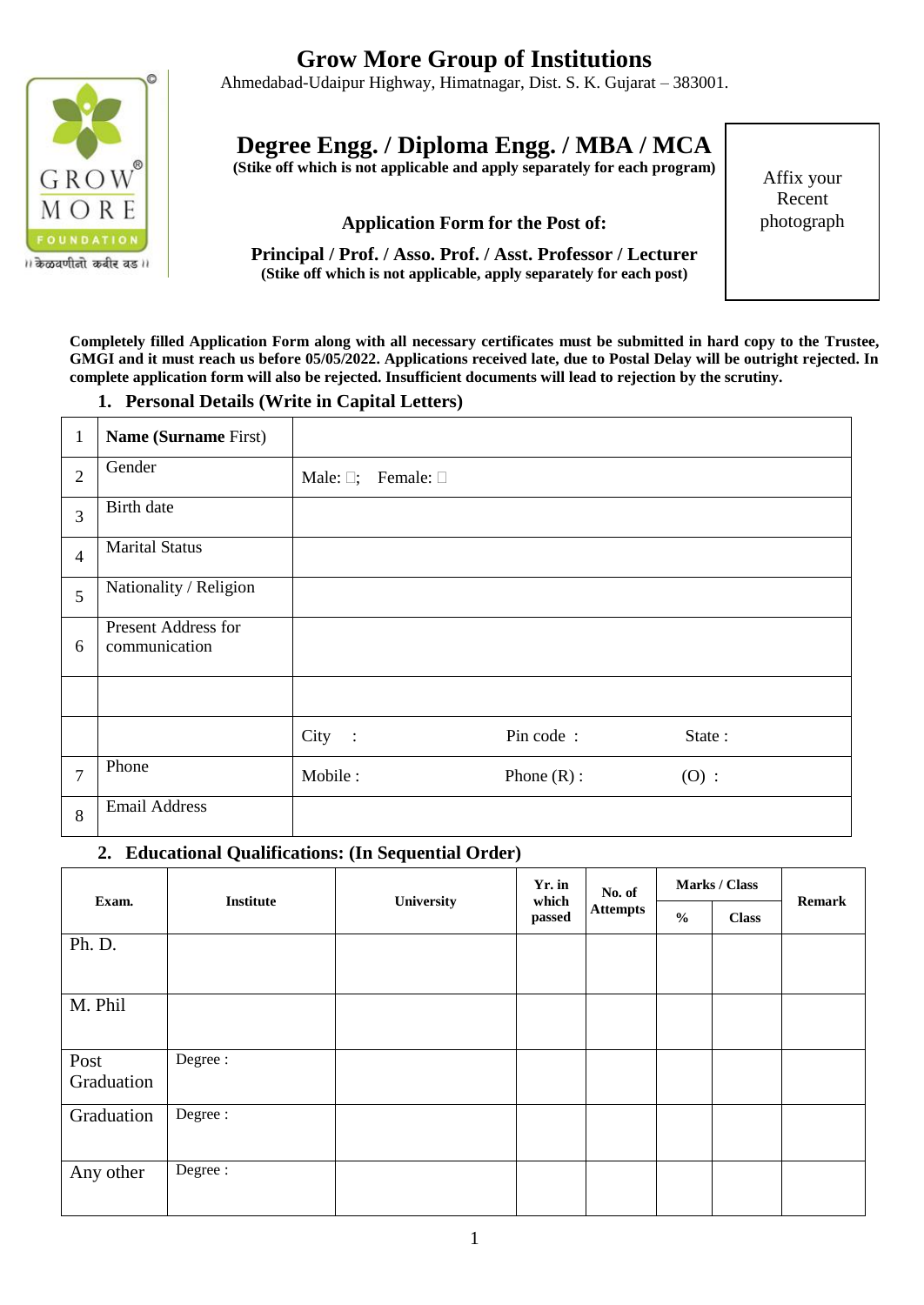

।। केळवणीनो कबीर वड।।

# **Grow More Group of Institutions**

Ahmedabad-Udaipur Highway, Himatnagar, Dist. S. K. Gujarat – 383001.

# **Degree Engg. / Diploma Engg. / MBA / MCA**

**(Stike off which is not applicable and apply separately for each program)**

## **Application Form for the Post of:**

**Principal / Prof. / Asso. Prof. / Asst. Professor / Lecturer (Stike off which is not applicable, apply separately for each post)**

Affix your Recent photograph

**Completely filled Application Form along with all necessary certificates must be submitted in hard copy to the Trustee, GMGI and it must reach us before 05/05/2022. Applications received late, due to Postal Delay will be outright rejected. In complete application form will also be rejected. Insufficient documents will lead to rejection by the scrutiny.** 

#### **1. Personal Details (Write in Capital Letters)**

| $\mathbf{1}$   | Name (Surname First)                 |                      |                                     |               |        |  |
|----------------|--------------------------------------|----------------------|-------------------------------------|---------------|--------|--|
| $\overline{2}$ | Gender                               |                      | Male: $\square$ ; Female: $\square$ |               |        |  |
| $\overline{3}$ | <b>Birth</b> date                    |                      |                                     |               |        |  |
| $\overline{4}$ | <b>Marital Status</b>                |                      |                                     |               |        |  |
| 5              | Nationality / Religion               |                      |                                     |               |        |  |
| 6              | Present Address for<br>communication |                      |                                     |               |        |  |
|                |                                      |                      |                                     |               |        |  |
|                |                                      | City<br>$\mathbb{R}$ |                                     | Pin code:     | State: |  |
| $\overline{7}$ | Phone                                | Mobile:              |                                     | Phone $(R)$ : | (0):   |  |
| 8              | <b>Email Address</b>                 |                      |                                     |               |        |  |

#### **2. Educational Qualifications: (In Sequential Order)**

| Exam.              | <b>Institute</b> | University | Yr. in<br>which<br>passed | No. of<br><b>Attempts</b> | Marks / Class |              | <b>Remark</b> |
|--------------------|------------------|------------|---------------------------|---------------------------|---------------|--------------|---------------|
|                    |                  |            |                           |                           | $\frac{0}{0}$ | <b>Class</b> |               |
| Ph. D.             |                  |            |                           |                           |               |              |               |
| M. Phil            |                  |            |                           |                           |               |              |               |
| Post<br>Graduation | Degree:          |            |                           |                           |               |              |               |
| Graduation         | Degree:          |            |                           |                           |               |              |               |
| Any other          | Degree:          |            |                           |                           |               |              |               |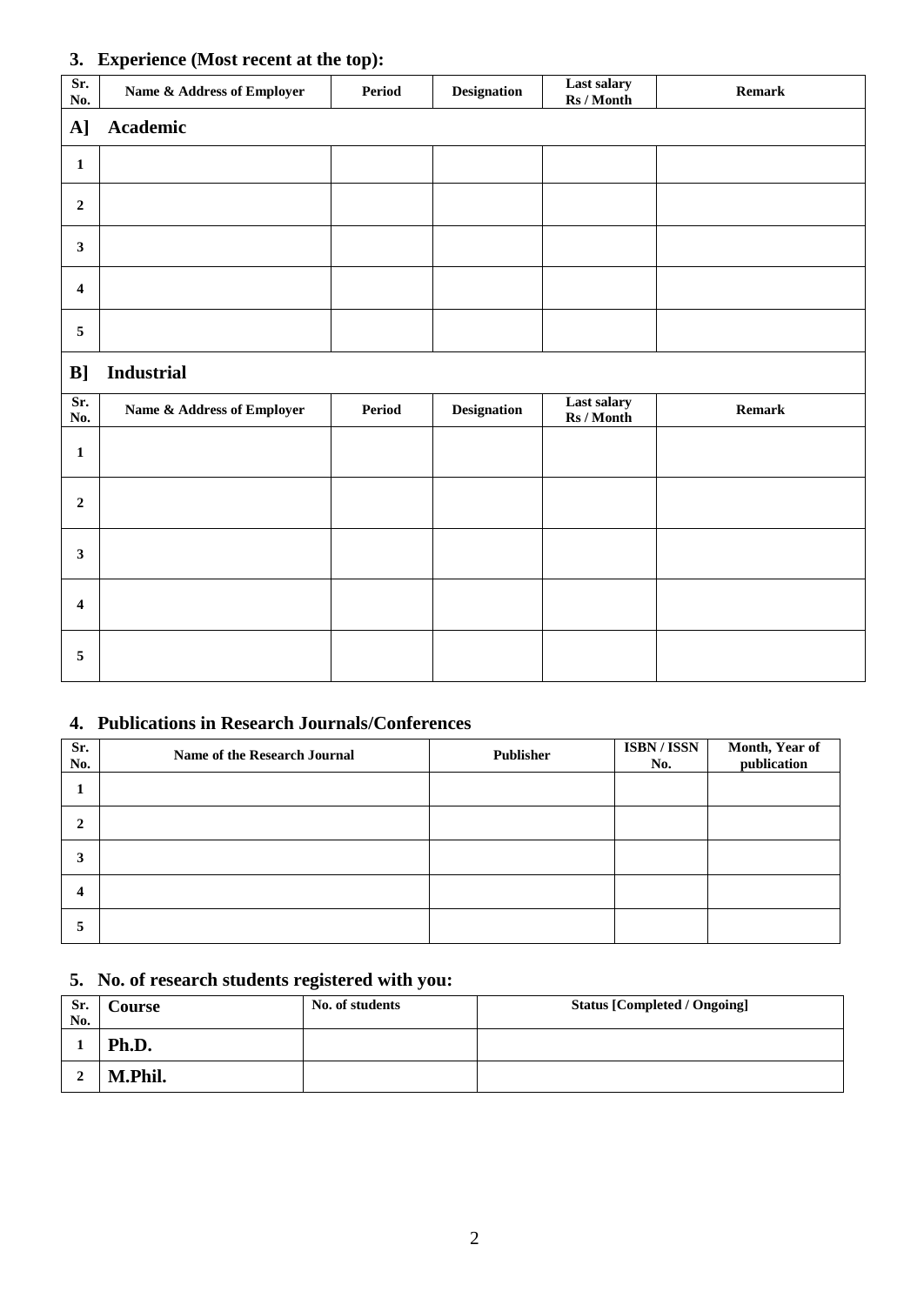#### **3. Experience (Most recent at the top):**

| Sr.<br>No.       | Name & Address of Employer | -<br>Period | <b>Designation</b> | Last salary<br>Rs / Month | Remark |
|------------------|----------------------------|-------------|--------------------|---------------------------|--------|
| A]               | Academic                   |             |                    |                           |        |
| $\mathbf{1}$     |                            |             |                    |                           |        |
| $\overline{2}$   |                            |             |                    |                           |        |
| $\mathbf{3}$     |                            |             |                    |                           |        |
| $\boldsymbol{4}$ |                            |             |                    |                           |        |
| $\sqrt{5}$       |                            |             |                    |                           |        |
| B]               | <b>Industrial</b>          |             |                    |                           |        |
| Sr.<br>No.       | Name & Address of Employer | Period      | Designation        | Last salary<br>Rs / Month | Remark |
| $\mathbf{1}$     |                            |             |                    |                           |        |
| $\mathbf 2$      |                            |             |                    |                           |        |
| $\mathbf{3}$     |                            |             |                    |                           |        |
| $\boldsymbol{4}$ |                            |             |                    |                           |        |
| $\overline{5}$   |                            |             |                    |                           |        |

## **4. Publications in Research Journals/Conferences**

| Sr.<br>No. | Name of the Research Journal | Publisher | <b>ISBN/ISSN</b><br>No. | Month, Year of<br>publication |
|------------|------------------------------|-----------|-------------------------|-------------------------------|
|            |                              |           |                         |                               |
| 2          |                              |           |                         |                               |
| 3          |                              |           |                         |                               |
| 4          |                              |           |                         |                               |
| ∍          |                              |           |                         |                               |

# **5. No. of research students registered with you:**

| Sr.<br>No. | Course  | No. of students | <b>Status [Completed / Ongoing]</b> |
|------------|---------|-----------------|-------------------------------------|
|            | Ph.D.   |                 |                                     |
|            | M.Phil. |                 |                                     |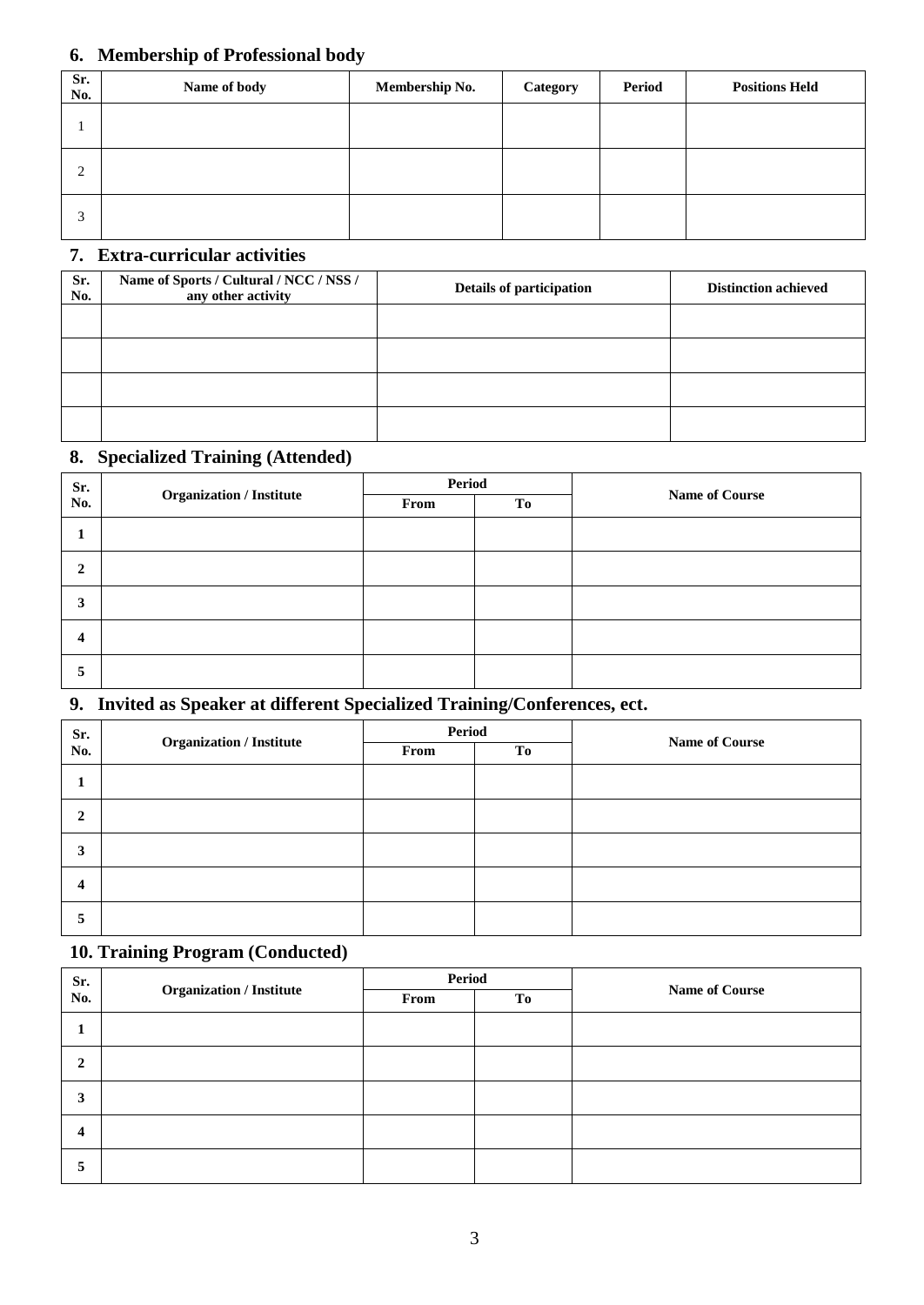#### **6. Membership of Professional body**

| Sr.<br>No. | Name of body | Membership No. | Category | <b>Period</b> | <b>Positions Held</b> |
|------------|--------------|----------------|----------|---------------|-----------------------|
|            |              |                |          |               |                       |
| ◠<br>∠     |              |                |          |               |                       |
|            |              |                |          |               |                       |

### **7. Extra-curricular activities**

| Sr.<br>No. | Name of Sports / Cultural / NCC / NSS /<br>any other activity | Details of participation | <b>Distinction achieved</b> |
|------------|---------------------------------------------------------------|--------------------------|-----------------------------|
|            |                                                               |                          |                             |
|            |                                                               |                          |                             |
|            |                                                               |                          |                             |
|            |                                                               |                          |                             |

#### **8. Specialized Training (Attended)**

| Sr. | <b>Organization / Institute</b> | Period |    |                       |
|-----|---------------------------------|--------|----|-----------------------|
| No. |                                 | From   | To | <b>Name of Course</b> |
|     |                                 |        |    |                       |
| 2   |                                 |        |    |                       |
| 3   |                                 |        |    |                       |
| 4   |                                 |        |    |                       |
| ⊃   |                                 |        |    |                       |

#### **9. Invited as Speaker at different Specialized Training/Conferences, ect.**

| Sr. | <b>Organization / Institute</b> | Period |    |                       |  |
|-----|---------------------------------|--------|----|-----------------------|--|
| No. |                                 | From   | To | <b>Name of Course</b> |  |
|     |                                 |        |    |                       |  |
| 2   |                                 |        |    |                       |  |
| 3   |                                 |        |    |                       |  |
| 4   |                                 |        |    |                       |  |
| 5   |                                 |        |    |                       |  |

# **10. Training Program (Conducted)**

| Sr.          | <b>Organization / Institute</b> | Period |    |                       |
|--------------|---------------------------------|--------|----|-----------------------|
| No.          |                                 | From   | To | <b>Name of Course</b> |
|              |                                 |        |    |                       |
| $\mathbf{2}$ |                                 |        |    |                       |
| 3            |                                 |        |    |                       |
| 4            |                                 |        |    |                       |
| 5            |                                 |        |    |                       |